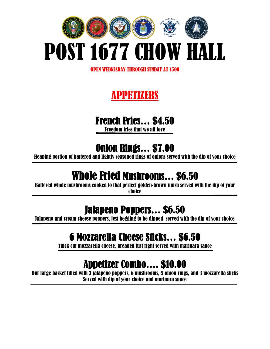

OPEN WEDNESDAY THROUGH SUNDAY AT 1500

## APPETIZERS

#### French Fries… \$4.50

Freedom fries that we all love

#### Onion Rings… \$7.00

Heaping portion of battered and lightly seasoned rings of onions served with the dip of your choice

## Whole Fried Mushrooms… \$6.50

Battered whole mushrooms cooked to that perfect golden-brown finish served with the dip of your choice

## Jalapeno Poppers… \$6.50

Jalapeno and cream cheese poppers, jest begging to be dipped, served with the dip of your choice j

## 6 Mozzarella Cheese Sticks… \$6.50

Thick cut mozzarella cheese, breaded just right served with marinara sauce

## Appetizer Combo…. \$10.00

Our large basket filled with 3 jalapeno poppers, 6 mushrooms, 5 onion rings, and 3 mozzarella sticks Served with dip of your choice and marinara sauce